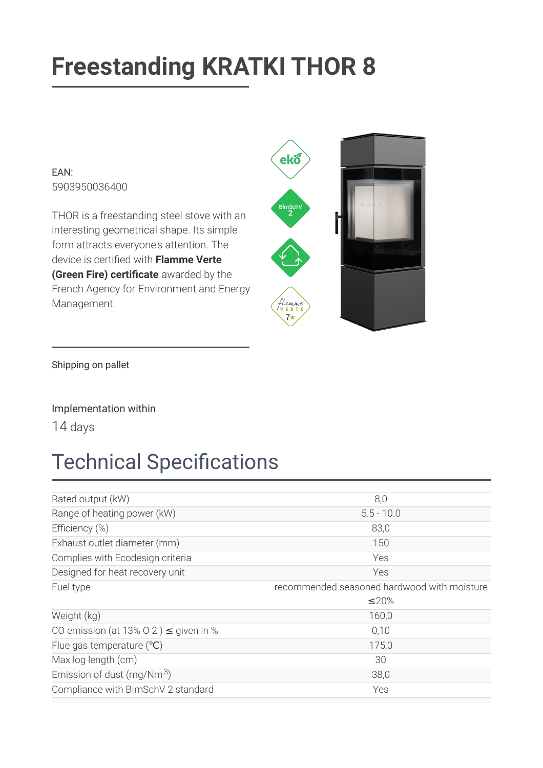# **Freestanding KRATKI THOR 8**

 $FAN$ 5903950036400

THOR is a freestanding steel stove with an interesting geometrical shape. Its simple form attracts everyone's attention. The device is certified with Flamme Verte (Green Fire) certificate awarded by the French Agency for Environment and Energy Management.



Shipping on pallet

#### Implementation within

14 days

### **Technical Specifications**

| Rated output (kW)                          | 8,0                                         |
|--------------------------------------------|---------------------------------------------|
| Range of heating power (kW)                | $5.5 - 10.0$                                |
| Efficiency (%)                             | 83,0                                        |
| Exhaust outlet diameter (mm)               | 150                                         |
| Complies with Ecodesign criteria           | Yes                                         |
| Designed for heat recovery unit            | Yes                                         |
| Fuel type                                  | recommended seasoned hardwood with moisture |
|                                            | $\leq$ 20%                                  |
| Weight (kg)                                | 160,0                                       |
| CO emission (at 13% O 2) $\leq$ given in % |                                             |
|                                            | 0,10                                        |
| Flue gas temperature $(°C)$                | 175,0                                       |
| Max log length (cm)                        | 30                                          |
| Emission of dust (mg/Nm $3$ )              | 38,0                                        |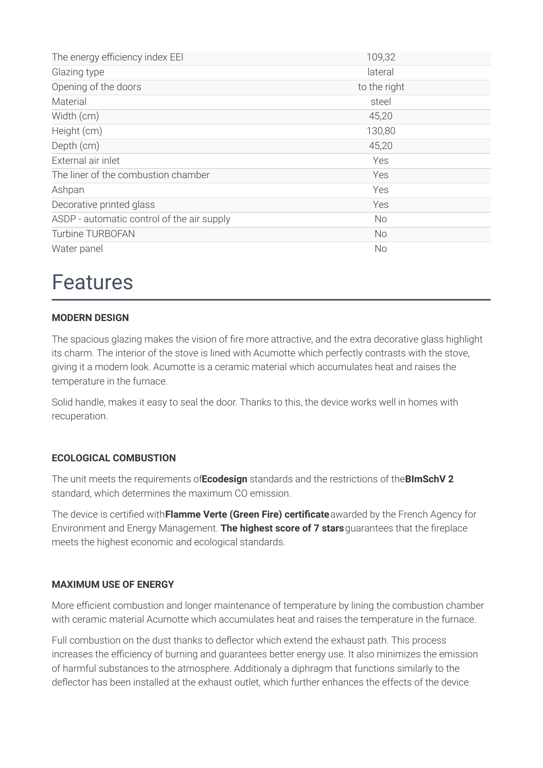| The energy efficiency index EEI            | 109,32       |
|--------------------------------------------|--------------|
| Glazing type                               | lateral      |
| Opening of the doors                       | to the right |
| Material                                   | steel        |
| Width (cm)                                 | 45,20        |
| Height (cm)                                | 130,80       |
| Depth (cm)                                 | 45,20        |
| External air inlet                         | <b>Yes</b>   |
| The liner of the combustion chamber        | Yes          |
| Ashpan                                     | Yes          |
| Decorative printed glass                   | Yes          |
| ASDP - automatic control of the air supply | No           |
| <b>Turbine TURBOFAN</b>                    | <b>No</b>    |
| Water panel                                | No           |

### **Features**

#### **MODERN DESIGN**

The spacious glazing makes the vision of fire more attractive, and the extra decorative glass highlight its charm. The interior of the stove is lined with Acumotte which perfectly contrasts with the stove, giving it a modern look. Acumotte is a ceramic material which accumulates heat and raises the temperature in the furnace.

Solid handle, makes it easy to seal the door. Thanks to this, the device works well in homes with recuperation.

#### **ECOLOGICAL COMBUSTION**

The unit meets the requirements of Ecodesign standards and the restrictions of the BImSchV 2 standard, which determines the maximum CO emission.

The device is certified with Flamme Verte (Green Fire) certificate awarded by the French Agency for Environment and Energy Management. The highest score of 7 stars guarantees that the fireplace meets the highest economic and ecological standards.

#### **MAXIMUM USE OF ENERGY**

More efficient combustion and longer maintenance of temperature by lining the combustion chamber with ceramic material Acumotte which accumulates heat and raises the temperature in the furnace.

Full combustion on the dust thanks to deflector which extend the exhaust path. This process increases the efficiency of burning and quarantees better energy use. It also minimizes the emission of harmful substances to the atmosphere. Additionaly a diphragm that functions similarly to the deflector has been installed at the exhaust outlet, which further enhances the effects of the device.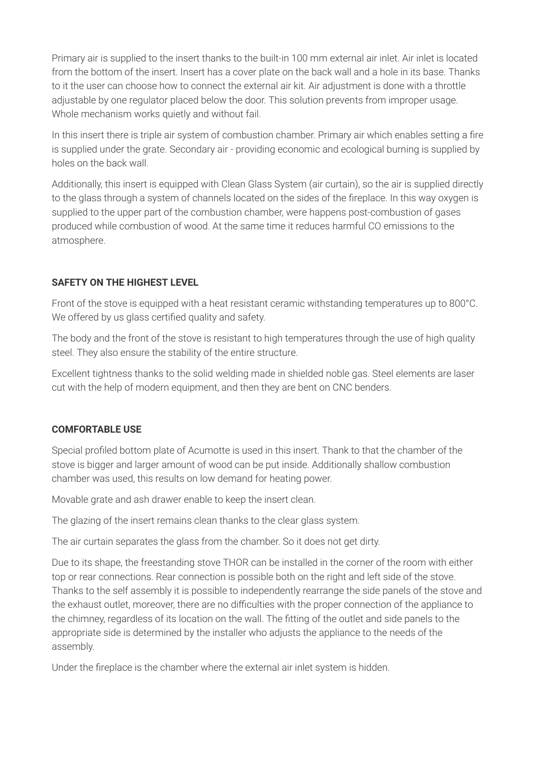Primary air is supplied to the insert thanks to the built-in 100 mm external air inlet. Air inlet is located from the bottom of the insert. Insert has a cover plate on the back wall and a hole in its base. Thanks to it the user can choose how to connect the external air kit. Air adjustment is done with a throttle adjustable by one regulator placed below the door. This solution prevents from improper usage. Whole mechanism works quietly and without fail.

In this insert there is triple air system of combustion chamber. Primary air which enables setting a fire is supplied under the grate. Secondary air - providing economic and ecological burning is supplied by holes on the back wall.

Additionally, this insert is equipped with Clean Glass System (air curtain), so the air is supplied directly to the glass through a system of channels located on the sides of the fireplace. In this way oxygen is supplied to the upper part of the combustion chamber, were happens post-combustion of gases produced while combustion of wood. At the same time it reduces harmful CO emissions to the atmosphere.

#### **SAFETY ON THE HIGHEST LEVEL**

Front of the stove is equipped with a heat resistant ceramic withstanding temperatures up to 800°C. We offered by us glass certified quality and safety.

The body and the front of the stove is resistant to high temperatures through the use of high quality steel. They also ensure the stability of the entire structure.

Excellent tightness thanks to the solid welding made in shielded noble gas. Steel elements are laser cut with the help of modern equipment, and then they are bent on CNC benders.

#### **COMFORTABLE USE**

Special profiled bottom plate of Acumotte is used in this insert. Thank to that the chamber of the stove is bigger and larger amount of wood can be put inside. Additionally shallow combustion chamber was used, this results on low demand for heating power.

Movable grate and ash drawer enable to keep the insert clean.

The glazing of the insert remains clean thanks to the clear glass system.

The air curtain separates the glass from the chamber. So it does not get dirty.

Due to its shape, the freestanding stove THOR can be installed in the corner of the room with either top or rear connections. Rear connection is possible both on the right and left side of the stove. Thanks to the self assembly it is possible to independently rearrange the side panels of the stove and the exhaust outlet, moreover, there are no difficulties with the proper connection of the appliance to the chimney, regardless of its location on the wall. The fitting of the outlet and side panels to the appropriate side is determined by the installer who adjusts the appliance to the needs of the assembly.

Under the fireplace is the chamber where the external air inlet system is hidden.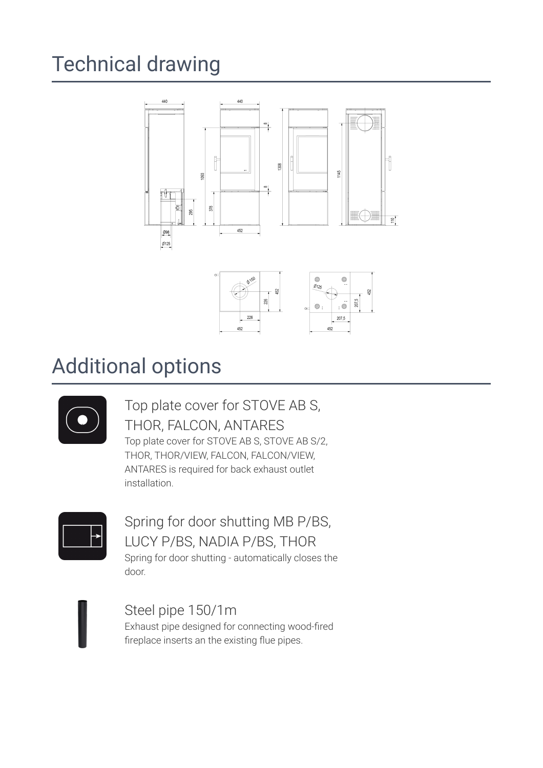## **Technical drawing**





### **Additional options**



### Top plate cover for STOVE AB S, THOR, FALCON, ANTARES Top plate cover for STOVE AB S, STOVE AB S/2,

THOR, THOR/VIEW, FALCON, FALCON/VIEW, ANTARES is required for back exhaust outlet installation.



Spring for door shutting MB P/BS, LUCY P/BS, NADIA P/BS, THOR Spring for door shutting - automatically closes the door.

Steel pipe 150/1m Exhaust pipe designed for connecting wood-fired fireplace inserts an the existing flue pipes.